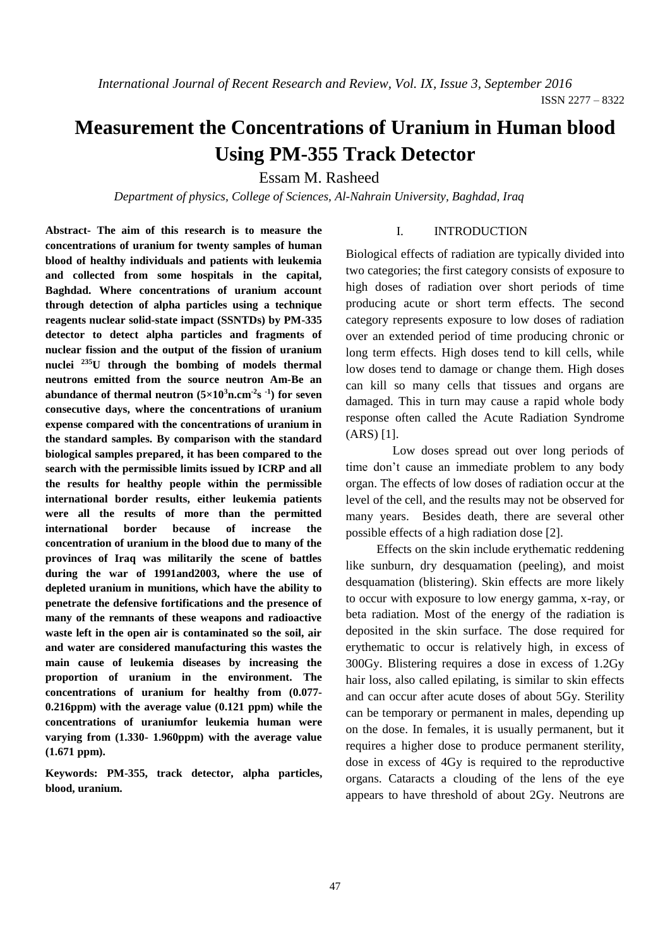# **Measurement the Concentrations of Uranium in Human blood Using PM-355 Track Detector**

Essam M. Rasheed

*Department of physics, College of Sciences, Al-Nahrain University, Baghdad, Iraq*

**Abstract- The aim of this research is to measure the concentrations of uranium for twenty samples of human blood of healthy individuals and patients with leukemia and collected from some hospitals in the capital, Baghdad. Where concentrations of uranium account through detection of alpha particles using a technique reagents nuclear solid-state impact (SSNTDs) by PM-335 detector to detect alpha particles and fragments of nuclear fission and the output of the fission of uranium nuclei <sup>235</sup>U through the bombing of models thermal neutrons emitted from the source neutron Am-Be an abundance of thermal neutron**  $(5 \times 10^3)$ **<b>n.cm**<sup>2</sup>**s** <sup>1</sup>) for **seven consecutive days, where the concentrations of uranium expense compared with the concentrations of uranium in the standard samples. By comparison with the standard biological samples prepared, it has been compared to the search with the permissible limits issued by ICRP and all the results for healthy people within the permissible international border results, either leukemia patients were all the results of more than the permitted international border because of increase the concentration of uranium in the blood due to many of the provinces of Iraq was militarily the scene of battles during the war of 1991and2003, where the use of depleted uranium in munitions, which have the ability to penetrate the defensive fortifications and the presence of many of the remnants of these weapons and radioactive waste left in the open air is contaminated so the soil, air and water are considered manufacturing this wastes the main cause of leukemia diseases by increasing the proportion of uranium in the environment. The concentrations of uranium for healthy from (0.077- 0.216ppm) with the average value (0.121 ppm) while the concentrations of uraniumfor leukemia human were varying from (1.330- 1.960ppm) with the average value (1.671 ppm).**

**Keywords: PM-355, track detector, alpha particles, blood, uranium.**

## I. INTRODUCTION

Biological effects of radiation are typically divided into two categories; the first category consists of exposure to high doses of radiation over short periods of time producing acute or short term effects. The second category represents exposure to low doses of radiation over an extended period of time producing chronic or long term effects. High doses tend to kill cells, while low doses tend to damage or change them. High doses can kill so many cells that tissues and organs are damaged. This in turn may cause a rapid whole body response often called the Acute Radiation Syndrome (ARS) [1].

Low doses spread out over long periods of time don't cause an immediate problem to any body organ. The effects of low doses of radiation occur at the level of the cell, and the results may not be observed for many years. Besides death, there are several other possible effects of a high radiation dose [2].

Effects on the skin include erythematic reddening like sunburn, dry desquamation (peeling), and moist desquamation (blistering). Skin effects are more likely to occur with exposure to low energy gamma, x-ray, or beta radiation. Most of the energy of the radiation is deposited in the skin surface. The dose required for erythematic to occur is relatively high, in excess of 300Gy. Blistering requires a dose in excess of 1.2Gy hair loss, also called epilating, is similar to skin effects and can occur after acute doses of about 5Gy. Sterility can be temporary or permanent in males, depending up on the dose. In females, it is usually permanent, but it requires a higher dose to produce permanent sterility, dose in excess of 4Gy is required to the reproductive organs. Cataracts a clouding of the lens of the eye appears to have threshold of about 2Gy. Neutrons are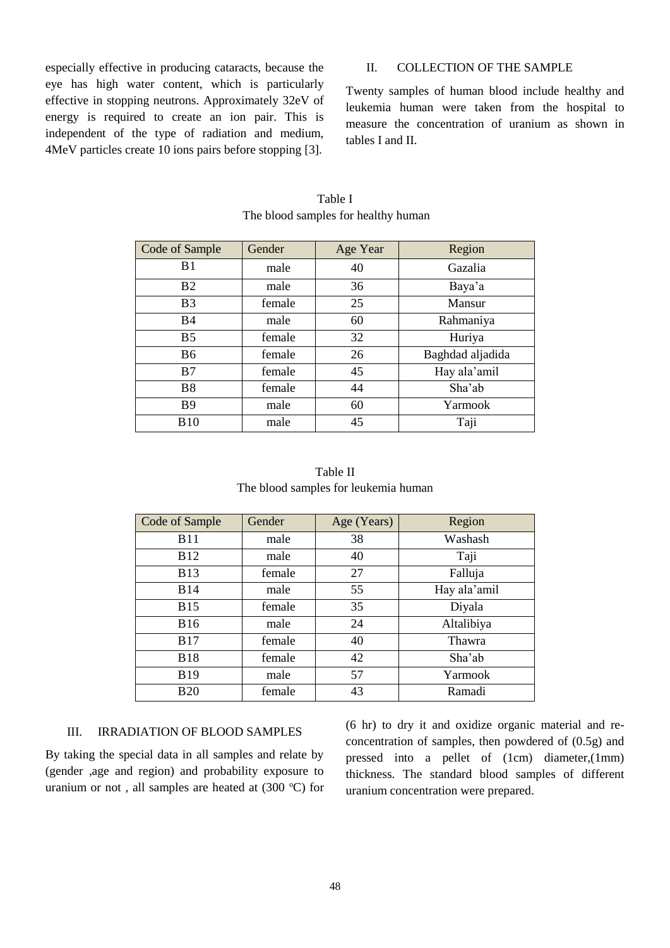especially effective in producing cataracts, because the eye has high water content, which is particularly effective in stopping neutrons. Approximately 32eV of energy is required to create an ion pair. This is independent of the type of radiation and medium, 4MeV particles create 10 ions pairs before stopping [3].

II. COLLECTION OF THE SAMPLE

Twenty samples of human blood include healthy and leukemia human were taken from the hospital to measure the concentration of uranium as shown in tables I and II.

| Code of Sample        | Gender | Age Year | Region           |
|-----------------------|--------|----------|------------------|
| B <sub>1</sub>        | male   | 40       | Gazalia          |
| B <sub>2</sub>        | male   | 36       | Baya'a           |
| <b>B</b> <sub>3</sub> | female | 25       | Mansur           |
| <b>B4</b>             | male   | 60       | Rahmaniya        |
| B <sub>5</sub>        | female | 32       | Huriya           |
| B6                    | female | 26       | Baghdad aljadida |
| B7                    | female | 45       | Hay ala'amil     |
| <b>B8</b>             | female | 44       | Sha'ab           |
| <b>B</b> 9            | male   | 60       | Yarmook          |
| <b>B</b> 10           | male   | 45       | Taji             |

Table I The blood samples for healthy human

Table II The blood samples for leukemia human

| Code of Sample | Gender | Age (Years) | Region       |
|----------------|--------|-------------|--------------|
| <b>B11</b>     | male   | 38          | Washash      |
| <b>B12</b>     | male   | 40          | Taji         |
| <b>B</b> 13    | female | 27          | Falluja      |
| <b>B14</b>     | male   | 55          | Hay ala'amil |
| <b>B15</b>     | female | 35          | Diyala       |
| <b>B16</b>     | male   | 24          | Altalibiya   |
| <b>B17</b>     | female | 40          | Thawra       |
| <b>B18</b>     | female | 42          | Sha'ab       |
| <b>B19</b>     | male   | 57          | Yarmook      |
| <b>B20</b>     | female | 43          | Ramadi       |

#### III. IRRADIATION OF BLOOD SAMPLES

By taking the special data in all samples and relate by (gender ,age and region) and probability exposure to uranium or not, all samples are heated at  $(300 \degree C)$  for (6 hr) to dry it and oxidize organic material and reconcentration of samples, then powdered of (0.5g) and pressed into a pellet of (1cm) diameter,(1mm) thickness. The standard blood samples of different uranium concentration were prepared.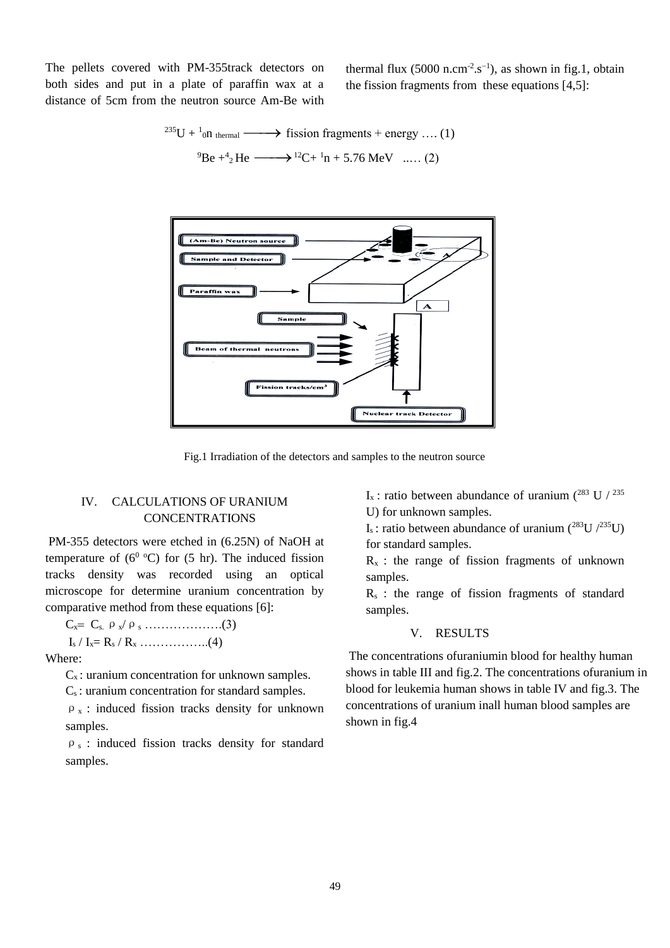The pellets covered with PM-355track detectors on both sides and put in a plate of paraffin wax at a distance of 5cm from the neutron source Am-Be with

thermal flux  $(5000 \text{ n.cm}^2 \text{ s}^{-1})$ , as shown in fig.1, obtain the fission fragments from these equations [4,5]:

$$
^{235}U + {}^{1}_{0}n_{\text{thermal}} \longrightarrow \text{fission fragments} + \text{energy} \dots (1)
$$
  

$$
{}^{9}Be + {}^{4}_{2}He \longrightarrow {}^{12}C + {}^{1}n + 5.76 \text{ MeV} \dots (2)
$$



Fig.1 Irradiation of the detectors and samples to the neutron source

## IV. CALCULATIONS OF URANIUM CONCENTRATIONS

PM-355 detectors were etched in (6.25N) of NaOH at temperature of  $(6^0 °C)$  for  $(5 \text{ hr})$ . The induced fission tracks density was recorded using an optical microscope for determine uranium concentration by comparative method from these equations [6]:

Cx Cs. ρx/ρ<sup>s</sup> ……………….(3)  $I_s / I_x = R_s / R_x$  …………………...(4)

Where:

 $C_x$ : uranium concentration for unknown samples.

C<sup>s</sup> : uranium concentration for standard samples.

 $\rho_x$ : induced fission tracks density for unknown samples.

ρ<sup>s</sup> : induced fission tracks density for standard samples.

I<sub>x</sub> : ratio between abundance of uranium (<sup>283</sup> U / <sup>235</sup>) U) for unknown samples.

I<sub>s</sub>: ratio between abundance of uranium ( $^{283}$ U  $/^{235}$ U) for standard samples.

 $R_x$ : the range of fission fragments of unknown samples.

 $R<sub>s</sub>$ : the range of fission fragments of standard samples.

## V. RESULTS

The concentrations ofuraniumin blood for healthy human shows in table III and fig.2. The concentrations ofuranium in blood for leukemia human shows in table IV and fig.3. The concentrations of uranium inall human blood samples are shown in fig.4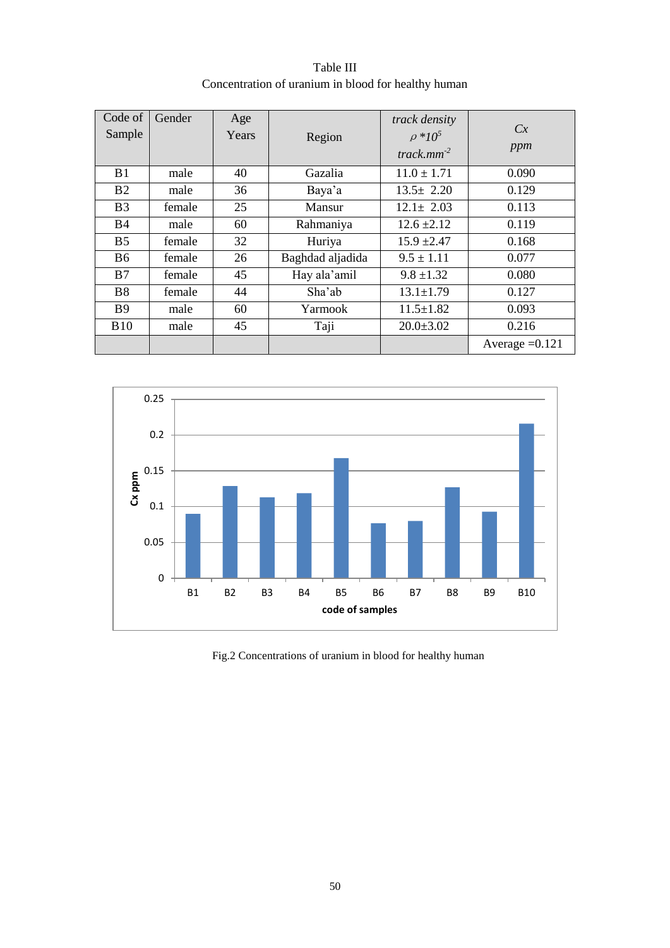| Code of<br>Sample | Gender | Age<br>Years | Region           | track density<br>$\rho * 10^5$<br>track.mm <sup>-2</sup> | Cx<br>ppm        |
|-------------------|--------|--------------|------------------|----------------------------------------------------------|------------------|
| B <sub>1</sub>    | male   | 40           | Gazalia          | $11.0 \pm 1.71$                                          | 0.090            |
| B <sub>2</sub>    | male   | 36           | Baya'a           | $13.5 \pm 2.20$                                          | 0.129            |
| B <sub>3</sub>    | female | 25           | Mansur           | $12.1 \pm 2.03$                                          | 0.113            |
| <b>B</b> 4        | male   | 60           | Rahmaniya        | $12.6 \pm 2.12$                                          | 0.119            |
| B <sub>5</sub>    | female | 32           | Huriya           | $15.9 \pm 2.47$                                          | 0.168            |
| B <sub>6</sub>    | female | 26           | Baghdad aljadida | $9.5 \pm 1.11$                                           | 0.077            |
| B7                | female | 45           | Hay ala'amil     | $9.8 \pm 1.32$                                           | 0.080            |
| <b>B8</b>         | female | 44           | Sha'ab           | $13.1 \pm 1.79$                                          | 0.127            |
| <b>B</b> 9        | male   | 60           | Yarmook          | $11.5 \pm 1.82$                                          | 0.093            |
| <b>B10</b>        | male   | 45           | Taji             | $20.0 \pm 3.02$                                          | 0.216            |
|                   |        |              |                  |                                                          | Average $=0.121$ |

Table III Concentration of uranium in blood for healthy human



Fig.2 Concentrations of uranium in blood for healthy human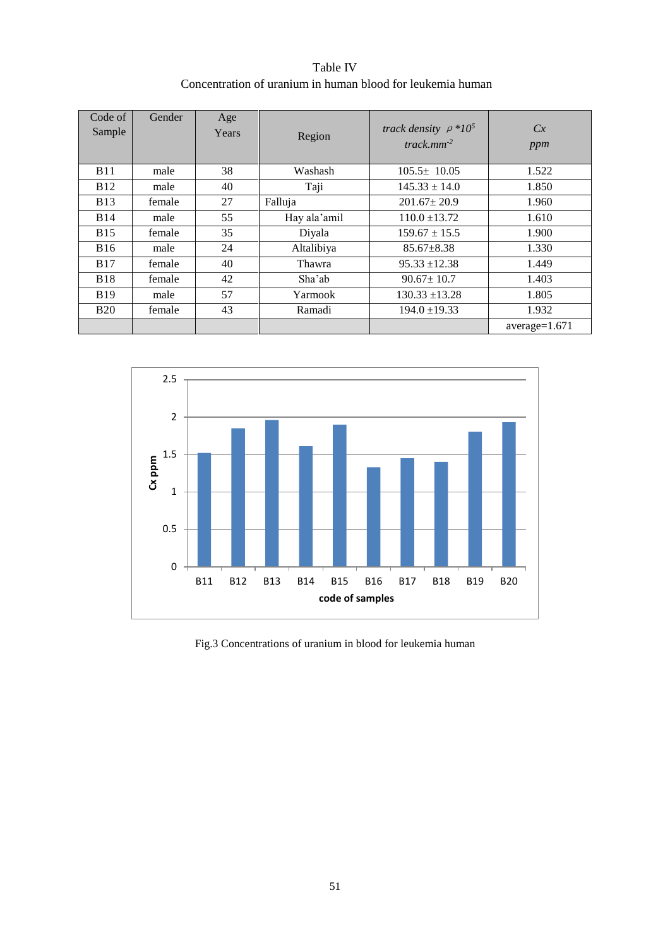| Table IV                                                   |
|------------------------------------------------------------|
| Concentration of uranium in human blood for leukemia human |

| Code of<br>Sample | Gender | Age<br>Years | Region       | track density $\rho *10^5$<br>track $mm^{-2}$ | Cx<br>ppm       |
|-------------------|--------|--------------|--------------|-----------------------------------------------|-----------------|
| <b>B11</b>        | male   | 38           | Washash      | $105.5 \pm 10.05$                             | 1.522           |
| <b>B12</b>        | male   | 40           | Taji         | $145.33 \pm 14.0$                             | 1.850           |
| <b>B</b> 13       | female | 27           | Falluja      | $201.67 \pm 20.9$                             | 1.960           |
| <b>B14</b>        | male   | 55           | Hay ala'amil | $110.0 \pm 13.72$                             | 1.610           |
| <b>B15</b>        | female | 35           | Diyala       | $159.67 \pm 15.5$                             | 1.900           |
| <b>B16</b>        | male   | 24           | Altalibiya   | $85.67 \pm 8.38$                              | 1.330           |
| <b>B17</b>        | female | 40           | Thawra       | $95.33 + 12.38$                               | 1.449           |
| <b>B18</b>        | female | 42           | Sha'ab       | $90.67 \pm 10.7$                              | 1.403           |
| <b>B</b> 19       | male   | 57           | Yarmook      | $130.33 + 13.28$                              | 1.805           |
| <b>B20</b>        | female | 43           | Ramadi       | $194.0 \pm 19.33$                             | 1.932           |
|                   |        |              |              |                                               | $average=1.671$ |



Fig.3 Concentrations of uranium in blood for leukemia human